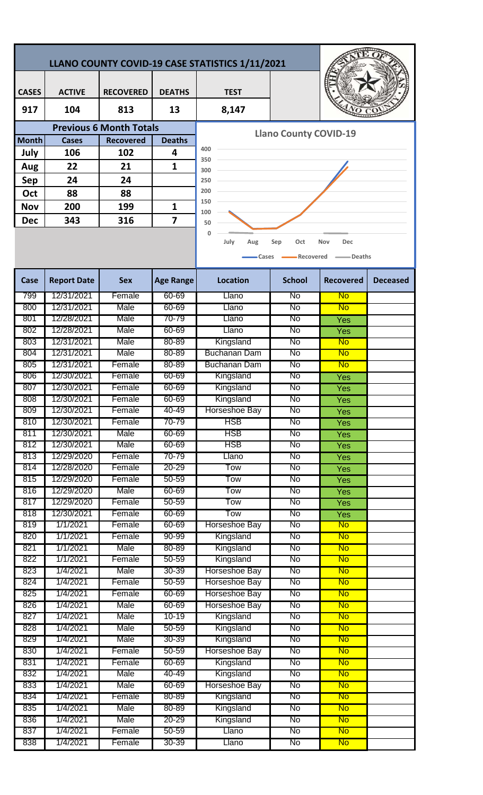| LLANO COUNTY COVID-19 CASE STATISTICS 1/11/2021 |                          |                  |                        |                                |               |                        |                 |  |
|-------------------------------------------------|--------------------------|------------------|------------------------|--------------------------------|---------------|------------------------|-----------------|--|
| <b>CASES</b>                                    | <b>ACTIVE</b>            | <b>RECOVERED</b> | <b>DEATHS</b>          | <b>TEST</b>                    |               |                        |                 |  |
| 917                                             | 104                      | 813              | 13                     | 8,147                          |               |                        |                 |  |
| <b>Previous 6 Month Totals</b>                  |                          |                  |                        |                                |               |                        |                 |  |
| <b>Month</b>                                    | <b>Cases</b>             | <b>Recovered</b> | <b>Deaths</b>          | <b>Llano County COVID-19</b>   |               |                        |                 |  |
| July                                            | 106                      | 102              | 4                      | 400<br>350                     |               |                        |                 |  |
| Aug                                             | 22                       | 21               | $\mathbf{1}$           | 300                            |               |                        |                 |  |
| Sep                                             | 24                       | 24               |                        | 250                            |               |                        |                 |  |
| Oct                                             | 88                       | 88               |                        | 200                            |               |                        |                 |  |
| <b>Nov</b>                                      | 200                      | 199              | 1                      | 150                            |               |                        |                 |  |
| <b>Dec</b>                                      | 343                      | 316              | 7                      | 100<br>50                      |               |                        |                 |  |
|                                                 |                          |                  |                        |                                |               |                        |                 |  |
|                                                 |                          |                  |                        | July<br>Aug                    | Oct<br>Sep    | Nov<br><b>Dec</b>      |                 |  |
|                                                 |                          |                  |                        | Recovered<br>Deaths<br>Cases   |               |                        |                 |  |
| Case                                            | <b>Report Date</b>       | <b>Sex</b>       | <b>Age Range</b>       | <b>Location</b>                | <b>School</b> | <b>Recovered</b>       | <b>Deceased</b> |  |
| 799                                             | 12/31/2021               | Female           | 60-69                  | Llano                          | No            | No                     |                 |  |
| 800                                             | 12/31/2021               | Male             | 60-69                  | Llano                          | No            | No                     |                 |  |
| 801                                             | 12/28/2021<br>12/28/2021 | Male<br>Male     | 70-79<br>60-69         | Llano                          | No<br>No      | Yes                    |                 |  |
| 802<br>803                                      | 12/31/2021               | Male             | 80-89                  | Llano<br>Kingsland             | No            | Yes<br>No              |                 |  |
| 804                                             | 12/31/2021               | Male             | 80-89                  | <b>Buchanan Dam</b>            | No            | No                     |                 |  |
| 805                                             | 12/31/2021               | Female           | 80-89                  | <b>Buchanan Dam</b>            | No            | <b>No</b>              |                 |  |
| 806                                             | 12/30/2021               | Female           | 60-69                  | Kingsland                      | No            | Yes                    |                 |  |
| 807                                             | 12/30/2021               | Female           | 60-69                  | Kingsland                      | No            | Yes                    |                 |  |
| 808                                             | 12/30/2021               | Female           | 60-69                  | Kingsland                      | No            | Yes                    |                 |  |
| 809                                             | 12/30/2021               | Female           | 40-49                  | Horseshoe Bay                  | No            | Yes                    |                 |  |
| 810                                             | 12/30/2021               | Female           | 70-79                  | <b>HSB</b>                     | No            | Yes                    |                 |  |
| 811                                             | 12/30/2021               | Male             | 60-69                  | <b>HSB</b>                     | No            | Yes                    |                 |  |
| 812                                             | 12/30/2021               | Male             | 60-69                  | <b>HSB</b>                     | No            | Yes                    |                 |  |
| 813                                             | 12/29/2020<br>12/28/2020 | Female           | 70-79                  | Llano                          | No            | Yes                    |                 |  |
| 814<br>815                                      | 12/29/2020               | Female<br>Female | $20 - 29$<br>$50 - 59$ | Tow<br>Tow                     | No<br>No      | Yes                    |                 |  |
| 816                                             | 12/29/2020               | Male             | 60-69                  | Tow                            | No            | Yes<br><b>Yes</b>      |                 |  |
| 817                                             | 12/29/2020               | Female           | $50 - 59$              | Tow                            | No            | Yes                    |                 |  |
| 818                                             | 12/30/2021               | Female           | 60-69                  | Tow                            | No            | Yes                    |                 |  |
| 819                                             | 1/1/2021                 | Female           | 60-69                  | Horseshoe Bay                  | No            | <b>No</b>              |                 |  |
| 820                                             | 1/1/2021                 | Female           | 90-99                  | Kingsland                      | No            | No                     |                 |  |
| 821                                             | 1/1/2021                 | Male             | 80-89                  | Kingsland                      | No            | <b>No</b>              |                 |  |
| 822                                             | 1/1/2021                 | Female           | 50-59                  | Kingsland                      | No            | <b>No</b>              |                 |  |
| 823                                             | 1/4/2021                 | Male             | 30-39                  | Horseshoe Bay                  | No            | <b>No</b>              |                 |  |
| 824<br>825                                      | 1/4/2021<br>1/4/2021     | Female<br>Female | $50 - 59$<br>60-69     | Horseshoe Bay<br>Horseshoe Bay | No<br>No      | <b>No</b><br><b>No</b> |                 |  |
| 826                                             | 1/4/2021                 | Male             | 60-69                  | Horseshoe Bay                  | No            | <b>No</b>              |                 |  |
| 827                                             | 1/4/2021                 | Male             | 10-19                  | Kingsland                      | No            | No                     |                 |  |
| 828                                             | 1/4/2021                 | Male             | $50 - 59$              | Kingsland                      | No            | <b>No</b>              |                 |  |
| 829                                             | 1/4/2021                 | Male             | $30 - 39$              | Kingsland                      | No            | <b>No</b>              |                 |  |
| 830                                             | 1/4/2021                 | Female           | $50 - 59$              | Horseshoe Bay                  | No            | <b>No</b>              |                 |  |
| 831                                             | 1/4/2021                 | Female           | 60-69                  | Kingsland                      | No            | <b>No</b>              |                 |  |
| 832                                             | 1/4/2021                 | Male             | 40-49                  | Kingsland                      | No            | <b>No</b>              |                 |  |
| 833                                             | 1/4/2021                 | Male             | 60-69                  | Horseshoe Bay                  | No            | <b>No</b>              |                 |  |
| 834                                             | 1/4/2021                 | Female           | 80-89                  | Kingsland                      | No            | <b>No</b>              |                 |  |
| 835                                             | 1/4/2021                 | Male             | 80-89                  | Kingsland                      | No            | <b>No</b>              |                 |  |
| 836                                             | 1/4/2021                 | Male             | 20-29                  | Kingsland                      | No            | <b>No</b>              |                 |  |

837 1/4/2021 Female 50-59 Llano No No No 838 1/4/2021 Female 30-39 L Llano I No <mark>No</mark>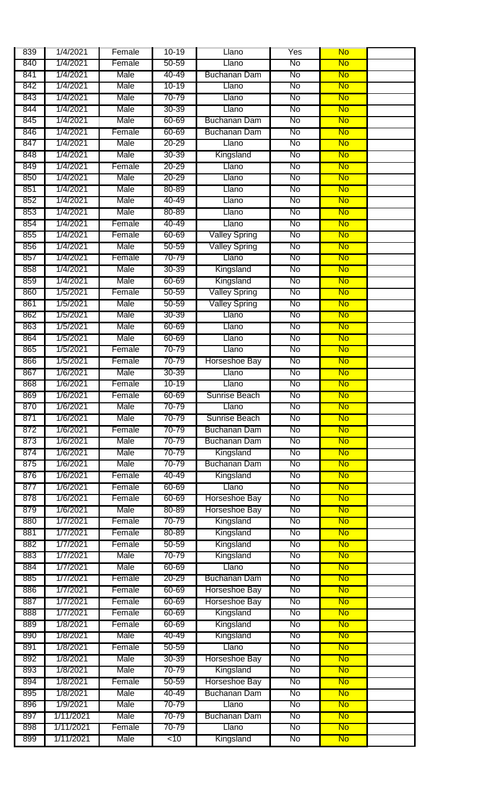| 839 | 1/4/2021  | Female | $10 - 19$      | Llano                | Yes                    | <b>No</b> |  |
|-----|-----------|--------|----------------|----------------------|------------------------|-----------|--|
| 840 | 1/4/2021  | Female | 50-59          | Llano                | No                     | <b>No</b> |  |
| 841 | 1/4/2021  | Male   | 40-49          | <b>Buchanan Dam</b>  | No                     | <b>No</b> |  |
| 842 | 1/4/2021  | Male   | $10 - 19$      | Llano                | No                     | <b>No</b> |  |
| 843 | 1/4/2021  | Male   | 70-79          | Llano                | No                     | <b>No</b> |  |
| 844 | 1/4/2021  | Male   | 30-39          | Llano                | No                     | <b>No</b> |  |
| 845 | 1/4/2021  | Male   | 60-69          | <b>Buchanan Dam</b>  | No                     | <b>No</b> |  |
| 846 | 1/4/2021  | Female | 60-69          | <b>Buchanan Dam</b>  | No                     | <b>No</b> |  |
| 847 | 1/4/2021  | Male   | $20 - 29$      | Llano                | No                     | <b>No</b> |  |
| 848 | 1/4/2021  | Male   | 30-39          | Kingsland            | No                     | <b>No</b> |  |
| 849 | 1/4/2021  | Female | $20 - 29$      | Llano                | <b>No</b>              | <b>No</b> |  |
|     | 1/4/2021  | Male   | 20-29          | Llano                | No                     | <b>No</b> |  |
| 850 | 1/4/2021  | Male   | 80-89          |                      | No                     | <b>No</b> |  |
| 851 |           |        |                | Llano                |                        |           |  |
| 852 | 1/4/2021  | Male   | 40-49          | Llano                | No                     | <b>No</b> |  |
| 853 | 1/4/2021  | Male   | 80-89          | Llano                | <b>No</b>              | <b>No</b> |  |
| 854 | 1/4/2021  | Female | 40-49          | Llano                | No                     | <b>No</b> |  |
| 855 | 1/4/2021  | Female | 60-69          | <b>Valley Spring</b> | No                     | <b>No</b> |  |
| 856 | 1/4/2021  | Male   | $50 - 59$      | <b>Valley Spring</b> | No                     | <b>No</b> |  |
| 857 | 1/4/2021  | Female | 70-79          | Llano                | No                     | <b>No</b> |  |
| 858 | 1/4/2021  | Male   | 30-39          | Kingsland            | No                     | <b>No</b> |  |
| 859 | 1/4/2021  | Male   | 60-69          | Kingsland            | No                     | <b>No</b> |  |
| 860 | 1/5/2021  | Female | $50 - 59$      | <b>Valley Spring</b> | <b>No</b>              | <b>No</b> |  |
| 861 | 1/5/2021  | Male   | $50 - 59$      | Valley Spring        | No                     | <b>No</b> |  |
| 862 | 1/5/2021  | Male   | 30-39          | Llano                | No                     | <b>No</b> |  |
| 863 | 1/5/2021  | Male   | 60-69          | Llano                | No                     | <b>No</b> |  |
| 864 | 1/5/2021  | Male   | 60-69          | Llano                | No                     | <b>No</b> |  |
| 865 | 1/5/2021  | Female | 70-79          | Llano                | No                     | <b>No</b> |  |
| 866 | 1/5/2021  | Female | 70-79          | Horseshoe Bay        | No                     | <b>No</b> |  |
| 867 | 1/6/2021  | Male   | $30 - 39$      | Llano                | No                     | <b>No</b> |  |
| 868 | 1/6/2021  | Female | 10-19          | Llano                | No                     | <b>No</b> |  |
| 869 | 1/6/2021  | Female | 60-69          | Sunrise Beach        | No                     | <b>No</b> |  |
| 870 | 1/6/2021  | Male   | 70-79          | Llano                | No                     | No        |  |
| 871 | 1/6/2021  | Male   | 70-79          | Sunrise Beach        | No                     | <b>No</b> |  |
| 872 | 1/6/2021  | Female | 70-79          | Buchanan Dam         | No                     | <b>No</b> |  |
| 873 | 1/6/2021  | Male   | 70-79          | <b>Buchanan Dam</b>  | No                     | <b>No</b> |  |
| 874 | 1/6/2021  | Male   | 70-79          | Kingsland            | No                     | <b>No</b> |  |
|     |           |        |                | <b>Buchanan Dam</b>  |                        |           |  |
| 875 | 1/6/2021  | Male   | 70-79<br>40-49 |                      | <b>No</b>              | <b>No</b> |  |
| 876 | 1/6/2021  | Female |                | Kingsland            | No                     | <b>No</b> |  |
| 877 | 1/6/2021  | Female | 60-69          | Llano                | No                     | <b>No</b> |  |
| 878 | 1/6/2021  | Female | 60-69          | Horseshoe Bay        | No                     | <b>No</b> |  |
| 879 | 1/6/2021  | Male   | 80-89          | Horseshoe Bay        | No                     | <b>No</b> |  |
| 880 | 1/7/2021  | Female | 70-79          | Kingsland            | No                     | <b>No</b> |  |
| 881 | 1/7/2021  | Female | 80-89          | Kingsland            | No                     | <b>No</b> |  |
| 882 | 1/7/2021  | Female | $50 - 59$      | Kingsland            | No                     | <b>No</b> |  |
| 883 | 1/7/2021  | Male   | 70-79          | Kingsland            | No                     | <b>No</b> |  |
| 884 | 1/7/2021  | Male   | 60-69          | Llano                | No                     | <b>No</b> |  |
| 885 | 1/7/2021  | Female | $20 - 29$      | <b>Buchanan Dam</b>  | No                     | <b>No</b> |  |
| 886 | 1/7/2021  | Female | 60-69          | Horseshoe Bay        | No                     | <b>No</b> |  |
| 887 | 1/7/2021  | Female | 60-69          | Horseshoe Bay        | No                     | <b>No</b> |  |
| 888 | 1/7/2021  | Female | 60-69          | Kingsland            | No                     | <b>No</b> |  |
| 889 | 1/8/2021  | Female | 60-69          | Kingsland            | No                     | <b>No</b> |  |
| 890 | 1/8/2021  | Male   | 40-49          | Kingsland            | No                     | <b>No</b> |  |
| 891 | 1/8/2021  | Female | 50-59          | Llano                | No                     | <b>No</b> |  |
| 892 | 1/8/2021  | Male   | $30 - 39$      | Horseshoe Bay        | No                     | <b>No</b> |  |
| 893 | 1/8/2021  | Male   | 70-79          | Kingsland            | No                     | <b>No</b> |  |
| 894 | 1/8/2021  | Female | $50 - 59$      | Horseshoe Bay        | No                     | <b>No</b> |  |
| 895 | 1/8/2021  | Male   | 40-49          | <b>Buchanan Dam</b>  | No                     | <b>No</b> |  |
| 896 | 1/9/2021  | Male   | 70-79          | Llano                | No                     | <b>No</b> |  |
| 897 | 1/11/2021 | Male   | 70-79          | <b>Buchanan Dam</b>  | No                     | <b>No</b> |  |
| 898 | 1/11/2021 | Female | 70-79          | Llano                | No                     | <b>No</b> |  |
| 899 | 1/11/2021 | Male   | <10            | Kingsland            | $\overline{\text{No}}$ | <b>No</b> |  |
|     |           |        |                |                      |                        |           |  |